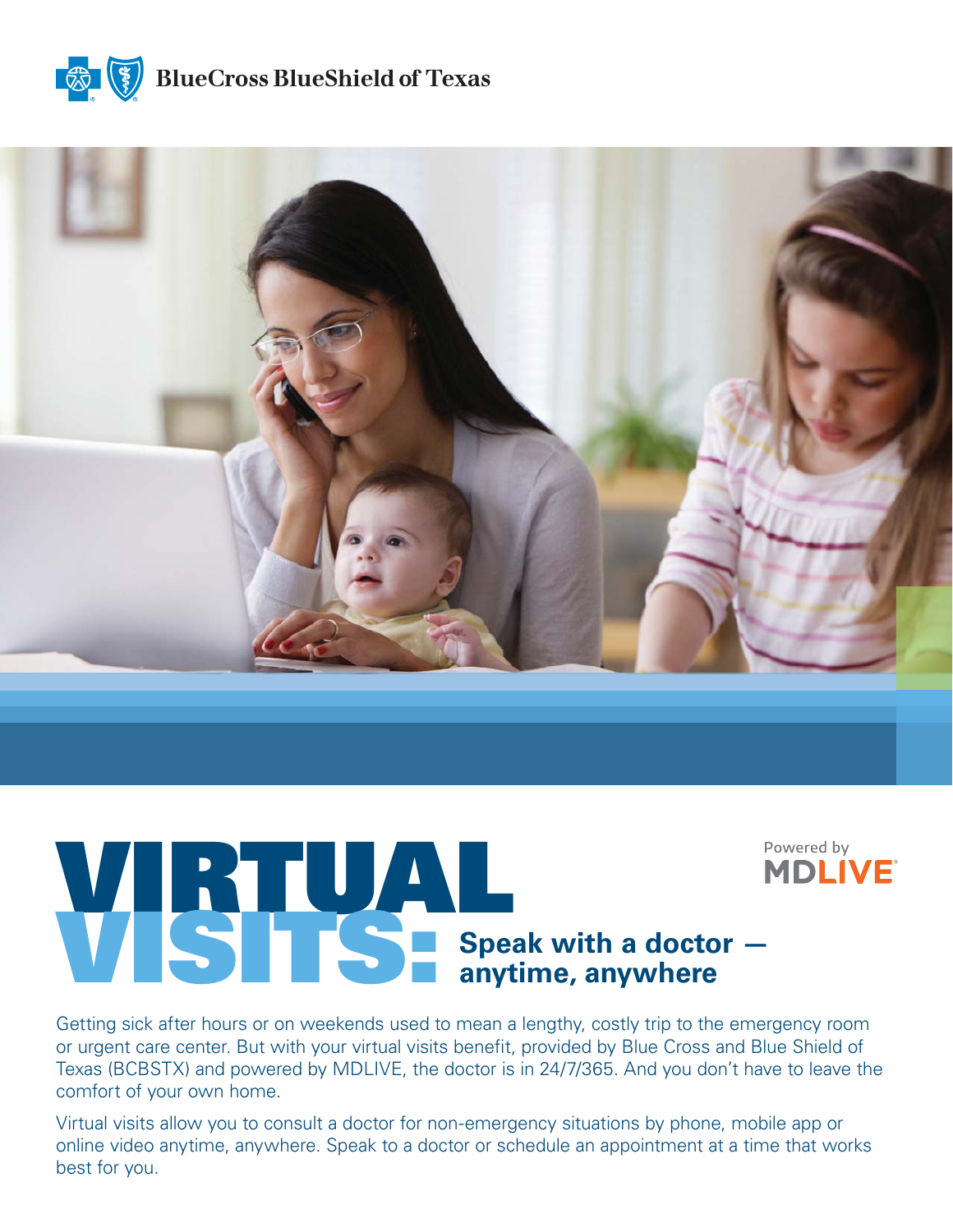

**BlueCross BlueShield of Texas** 



# **AND Speak with a doctor — <br>
Speak with a doctor — anytime, anywhere**

Getting sick after hours or on weekends used to mean a lengthy, costly trip to the emergency room or urgent care center. But with your virtual visits benefit, provided by Blue Cross and Blue Shield of Texas (BCBSTX) and powered by MDLIVE, the doctor is in 24/7/365. And you don't have to leave the comfort of your own home.

Virtual visits allow you to consult a doctor for non-emergency situations by phone, mobile app or online video anytime, anywhere. Speak to a doctor or schedule an appointment at a time that works best for you.